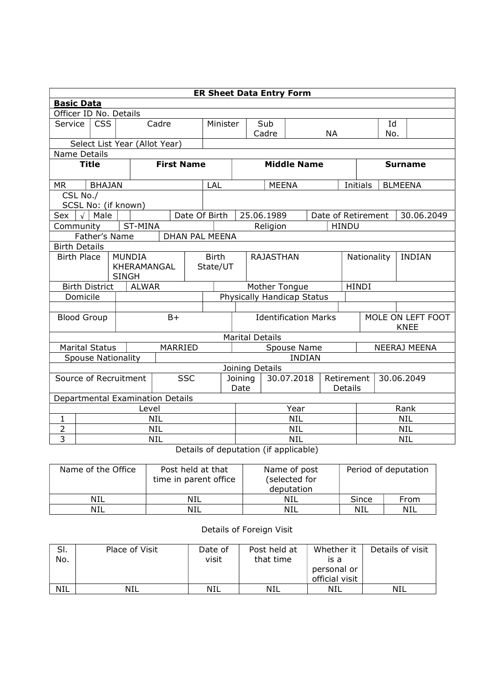| <b>ER Sheet Data Entry Form</b>                       |                                                                         |                                  |  |                               |              |                                    |                        |              |                                             |                              |                    |              |     |                   |
|-------------------------------------------------------|-------------------------------------------------------------------------|----------------------------------|--|-------------------------------|--------------|------------------------------------|------------------------|--------------|---------------------------------------------|------------------------------|--------------------|--------------|-----|-------------------|
|                                                       | <b>Basic Data</b>                                                       |                                  |  |                               |              |                                    |                        |              |                                             |                              |                    |              |     |                   |
| Officer ID No. Details                                |                                                                         |                                  |  |                               |              |                                    |                        |              |                                             |                              |                    |              |     |                   |
| Service                                               | <b>CSS</b>                                                              | Cadre                            |  | Minister                      |              |                                    | Sub                    |              |                                             |                              |                    | Id           |     |                   |
|                                                       |                                                                         |                                  |  |                               |              |                                    |                        | Cadre        |                                             |                              | <b>NA</b>          |              | No. |                   |
|                                                       | Select List Year (Allot Year)                                           |                                  |  |                               |              |                                    |                        |              |                                             |                              |                    |              |     |                   |
|                                                       | Name Details<br><b>First Name</b><br><b>Middle Name</b><br><b>Title</b> |                                  |  |                               |              |                                    |                        |              |                                             |                              |                    |              |     |                   |
|                                                       |                                                                         |                                  |  |                               |              |                                    |                        |              |                                             |                              | <b>Surname</b>     |              |     |                   |
| <b>MR</b>                                             | <b>BHAJAN</b>                                                           |                                  |  |                               | LAL          |                                    |                        | <b>MEENA</b> |                                             |                              |                    | Initials     |     | <b>BLMEENA</b>    |
| CSL No./                                              |                                                                         |                                  |  |                               |              |                                    |                        |              |                                             |                              |                    |              |     |                   |
|                                                       |                                                                         | SCSL No: (if known)              |  |                               |              |                                    |                        |              |                                             |                              |                    |              |     |                   |
| Sex                                                   | $\sqrt{\phantom{a}}$ Male                                               |                                  |  | Date Of Birth                 |              |                                    |                        | 25.06.1989   |                                             |                              | Date of Retirement |              |     | 30.06.2049        |
| Community                                             |                                                                         | ST-MINA                          |  |                               |              |                                    |                        | Religion     |                                             |                              | <b>HINDU</b>       |              |     |                   |
|                                                       | Father's Name<br>DHAN PAL MEENA                                         |                                  |  |                               |              |                                    |                        |              |                                             |                              |                    |              |     |                   |
| <b>Birth Details</b>                                  |                                                                         |                                  |  |                               |              |                                    |                        |              |                                             |                              |                    |              |     |                   |
| <b>Birth Place</b>                                    |                                                                         | <b>MUNDIA</b>                    |  |                               | <b>Birth</b> |                                    | <b>RAJASTHAN</b>       |              |                                             | Nationality<br><b>INDIAN</b> |                    |              |     |                   |
|                                                       |                                                                         | KHERAMANGAL                      |  |                               | State/UT     |                                    |                        |              |                                             |                              |                    |              |     |                   |
| <b>SINGH</b><br><b>Birth District</b><br><b>ALWAR</b> |                                                                         |                                  |  |                               |              |                                    |                        |              |                                             |                              |                    |              |     |                   |
| Domicile                                              |                                                                         |                                  |  |                               |              |                                    |                        |              | Mother Tongue<br>Physically Handicap Status |                              |                    | <b>HINDI</b> |     |                   |
|                                                       |                                                                         |                                  |  |                               |              |                                    |                        |              |                                             |                              |                    |              |     |                   |
| <b>Blood Group</b>                                    |                                                                         |                                  |  | $B+$                          |              |                                    |                        |              | <b>Identification Marks</b>                 |                              |                    |              |     | MOLE ON LEFT FOOT |
|                                                       |                                                                         |                                  |  |                               |              |                                    |                        |              | <b>KNEE</b>                                 |                              |                    |              |     |                   |
|                                                       |                                                                         |                                  |  |                               |              |                                    | <b>Marital Details</b> |              |                                             |                              |                    |              |     |                   |
| <b>Marital Status</b>                                 |                                                                         |                                  |  | MARRIED                       |              | Spouse Name<br><b>NEERAJ MEENA</b> |                        |              |                                             |                              |                    |              |     |                   |
|                                                       |                                                                         | <b>Spouse Nationality</b>        |  |                               |              |                                    |                        |              | <b>INDIAN</b>                               |                              |                    |              |     |                   |
|                                                       |                                                                         |                                  |  |                               |              |                                    | Joining Details        |              |                                             |                              |                    |              |     |                   |
| <b>SSC</b><br>Source of Recruitment                   |                                                                         |                                  |  | 30.07.2018<br>Joining<br>Date |              |                                    | Retirement<br>Details  |              | 30.06.2049                                  |                              |                    |              |     |                   |
|                                                       |                                                                         | Departmental Examination Details |  |                               |              |                                    |                        |              |                                             |                              |                    |              |     |                   |
| Level                                                 |                                                                         |                                  |  |                               |              | Year                               |                        |              |                                             | Rank                         |                    |              |     |                   |
| 1                                                     | <b>NIL</b>                                                              |                                  |  |                               |              | <b>NIL</b>                         |                        |              |                                             | <b>NIL</b>                   |                    |              |     |                   |
| $\overline{2}$                                        | <b>NIL</b>                                                              |                                  |  |                               |              | <b>NIL</b>                         |                        |              |                                             | <b>NIL</b>                   |                    |              |     |                   |
| $\overline{3}$                                        | NIL                                                                     |                                  |  |                               |              |                                    | NIL                    |              |                                             |                              | <b>NIL</b>         |              |     |                   |

Details of deputation (if applicable)

| Name of the Office | Post held at that<br>time in parent office | Name of post<br>(selected for<br>deputation | Period of deputation |      |  |
|--------------------|--------------------------------------------|---------------------------------------------|----------------------|------|--|
| <b>NIL</b>         | NIL                                        | NIL                                         | Since                | From |  |
| NIL                | NIL                                        | NIL                                         | NIL                  | NIL  |  |

## Details of Foreign Visit

| SI.<br>No. | Place of Visit | Date of<br>visit | Post held at<br>that time | Whether it<br>is a<br>personal or<br>official visit | Details of visit |
|------------|----------------|------------------|---------------------------|-----------------------------------------------------|------------------|
| NIL        | NIL            | NIL              | NIL                       | NIL                                                 | NIL              |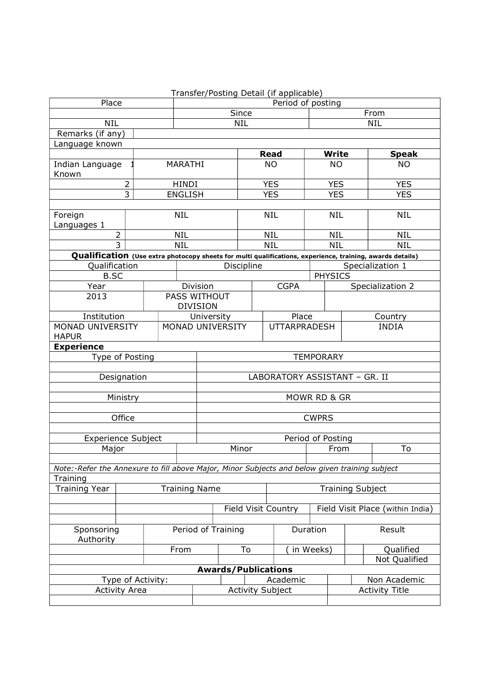|                                                                                               |                                              |      |                                       |                   |                         |            | Transfer/Posting Detail (if applicable) |                                  |                         |                                                                                                           |  |
|-----------------------------------------------------------------------------------------------|----------------------------------------------|------|---------------------------------------|-------------------|-------------------------|------------|-----------------------------------------|----------------------------------|-------------------------|-----------------------------------------------------------------------------------------------------------|--|
| Place                                                                                         |                                              |      |                                       | Period of posting |                         |            |                                         |                                  |                         |                                                                                                           |  |
|                                                                                               |                                              |      |                                       | Since             |                         |            |                                         |                                  | From                    |                                                                                                           |  |
| NIL                                                                                           |                                              |      |                                       | <b>NIL</b><br>NIL |                         |            |                                         |                                  |                         |                                                                                                           |  |
| Remarks (if any)                                                                              |                                              |      |                                       |                   |                         |            |                                         |                                  |                         |                                                                                                           |  |
| Language known                                                                                |                                              |      |                                       |                   |                         |            |                                         |                                  | <b>Write</b>            |                                                                                                           |  |
| Indian Language                                                                               |                                              |      | MARATHI                               |                   |                         |            | <b>Read</b><br><b>NO</b>                |                                  | <b>NO</b>               | <b>Speak</b><br><b>NO</b>                                                                                 |  |
| Known                                                                                         |                                              |      |                                       |                   |                         |            |                                         |                                  |                         |                                                                                                           |  |
| $\overline{2}$                                                                                |                                              |      | <b>HINDI</b>                          |                   |                         | <b>YES</b> |                                         |                                  | <b>YES</b>              | <b>YES</b>                                                                                                |  |
| 3                                                                                             |                                              |      | <b>ENGLISH</b>                        |                   |                         | <b>YES</b> |                                         |                                  | <b>YES</b>              | <b>YES</b>                                                                                                |  |
|                                                                                               |                                              |      |                                       |                   |                         |            |                                         |                                  |                         |                                                                                                           |  |
| Foreign                                                                                       |                                              |      | <b>NIL</b>                            |                   |                         | <b>NIL</b> |                                         |                                  | <b>NIL</b>              | <b>NIL</b>                                                                                                |  |
| Languages 1                                                                                   |                                              |      |                                       |                   |                         |            |                                         |                                  |                         |                                                                                                           |  |
|                                                                                               | $\overline{c}$                               |      | <b>NIL</b>                            |                   |                         | <b>NIL</b> |                                         |                                  | <b>NIL</b>              | <b>NIL</b>                                                                                                |  |
|                                                                                               | $\overline{3}$                               |      | <b>NIL</b>                            |                   |                         | <b>NIL</b> |                                         |                                  | <b>NIL</b>              | <b>NIL</b>                                                                                                |  |
|                                                                                               |                                              |      |                                       |                   |                         |            |                                         |                                  |                         | Qualification (Use extra photocopy sheets for multi qualifications, experience, training, awards details) |  |
| Qualification                                                                                 |                                              |      |                                       |                   | Discipline              |            |                                         |                                  |                         | Specialization 1                                                                                          |  |
| <b>B.SC</b>                                                                                   |                                              |      |                                       |                   |                         |            |                                         | <b>PHYSICS</b>                   |                         |                                                                                                           |  |
| Year                                                                                          |                                              |      |                                       | Division          |                         |            | <b>CGPA</b>                             |                                  |                         | Specialization 2                                                                                          |  |
| 2013                                                                                          |                                              |      |                                       | PASS WITHOUT      |                         |            |                                         |                                  |                         |                                                                                                           |  |
|                                                                                               |                                              |      |                                       | <b>DIVISION</b>   |                         |            |                                         |                                  |                         |                                                                                                           |  |
| Institution                                                                                   |                                              |      | University<br><b>MONAD UNIVERSITY</b> |                   |                         |            | Place<br><b>UTTARPRADESH</b>            |                                  | Country<br><b>INDIA</b> |                                                                                                           |  |
| MONAD UNIVERSITY                                                                              |                                              |      |                                       |                   |                         |            |                                         |                                  |                         |                                                                                                           |  |
| <b>Experience</b>                                                                             | <b>HAPUR</b>                                 |      |                                       |                   |                         |            |                                         |                                  |                         |                                                                                                           |  |
| Type of Posting                                                                               |                                              |      |                                       |                   |                         |            |                                         | <b>TEMPORARY</b>                 |                         |                                                                                                           |  |
|                                                                                               |                                              |      |                                       |                   |                         |            |                                         |                                  |                         |                                                                                                           |  |
| Designation                                                                                   |                                              |      |                                       |                   |                         |            | LABORATORY ASSISTANT - GR. II           |                                  |                         |                                                                                                           |  |
|                                                                                               |                                              |      |                                       |                   |                         |            |                                         |                                  |                         |                                                                                                           |  |
|                                                                                               | Ministry                                     |      |                                       |                   |                         |            |                                         | MOWR RD & GR                     |                         |                                                                                                           |  |
|                                                                                               |                                              |      |                                       |                   |                         |            |                                         |                                  |                         |                                                                                                           |  |
|                                                                                               | Office                                       |      |                                       |                   |                         |            |                                         | <b>CWPRS</b>                     |                         |                                                                                                           |  |
|                                                                                               |                                              |      |                                       |                   |                         |            |                                         |                                  |                         |                                                                                                           |  |
| Experience Subject                                                                            |                                              |      |                                       | Period of Posting |                         |            |                                         |                                  |                         |                                                                                                           |  |
| Major                                                                                         |                                              |      |                                       | Minor             |                         |            |                                         | From                             |                         | To                                                                                                        |  |
|                                                                                               |                                              |      |                                       |                   |                         |            |                                         |                                  |                         |                                                                                                           |  |
| Note:-Refer the Annexure to fill above Major, Minor Subjects and below given training subject |                                              |      |                                       |                   |                         |            |                                         |                                  |                         |                                                                                                           |  |
| Training                                                                                      |                                              |      |                                       |                   |                         |            |                                         |                                  |                         |                                                                                                           |  |
|                                                                                               | <b>Training Year</b><br><b>Training Name</b> |      |                                       |                   |                         |            | <b>Training Subject</b>                 |                                  |                         |                                                                                                           |  |
|                                                                                               |                                              |      |                                       |                   |                         |            |                                         | Field Visit Place (within India) |                         |                                                                                                           |  |
| Field Visit Country                                                                           |                                              |      |                                       |                   |                         |            |                                         |                                  |                         |                                                                                                           |  |
| Sponsoring                                                                                    |                                              |      |                                       |                   |                         |            |                                         | Duration                         |                         | Result                                                                                                    |  |
| Authority                                                                                     |                                              |      | Period of Training                    |                   |                         |            |                                         |                                  |                         |                                                                                                           |  |
|                                                                                               |                                              | From |                                       |                   | To                      |            | in Weeks)                               |                                  | Qualified               |                                                                                                           |  |
|                                                                                               |                                              |      |                                       |                   |                         |            |                                         |                                  | Not Qualified           |                                                                                                           |  |
| <b>Awards/Publications</b>                                                                    |                                              |      |                                       |                   |                         |            |                                         |                                  |                         |                                                                                                           |  |
| Type of Activity:                                                                             |                                              |      |                                       |                   | Academic                |            |                                         |                                  | Non Academic            |                                                                                                           |  |
|                                                                                               | <b>Activity Area</b>                         |      |                                       |                   | <b>Activity Subject</b> |            |                                         |                                  | <b>Activity Title</b>   |                                                                                                           |  |
|                                                                                               |                                              |      |                                       |                   |                         |            |                                         |                                  |                         |                                                                                                           |  |